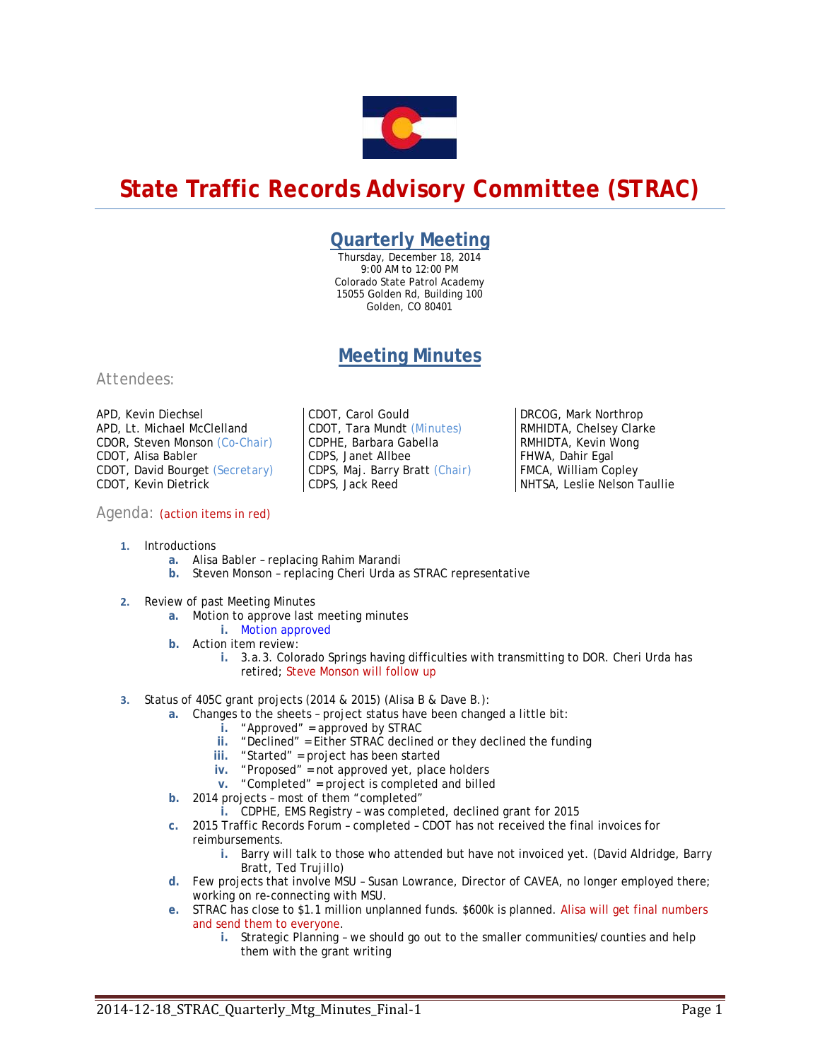

# **State Traffic Records Advisory Committee (STRAC)**

### **Quarterly Meeting**

Thursday, December 18, 2014 9:00 AM to 12:00 PM Colorado State Patrol Academy 15055 Golden Rd, Building 100 Golden, CO 80401

## **Meeting Minutes**

#### *Attendees:*

APD, Kevin Diechsel APD, Lt. Michael McClelland CDOR, Steven Monson *(Co-Chair)* CDOT, Alisa Babler CDOT, David Bourget *(Secretary)*  CDOT, Kevin Dietrick

#### Agenda: (action items in red)

CDOT, Carol Gould CDOT, Tara Mundt *(Minutes)*  CDPHE, Barbara Gabella CDPS, Janet Allbee CDPS, Maj. Barry Bratt *(Chair)*  CDPS, Jack Reed

DRCOG, Mark Northrop RMHIDTA, Chelsey Clarke RMHIDTA, Kevin Wong FHWA, Dahir Egal FMCA, William Copley NHTSA, Leslie Nelson Taullie

- **1.** Introductions
	- **a.** Alisa Babler replacing Rahim Marandi
	- **b.** Steven Monson replacing Cheri Urda as STRAC representative
- **2.** Review of past Meeting Minutes
	- **a.** Motion to approve last meeting minutes
	- **i.** Motion approved **b.** Action item review:
	- - **i.** 3.a.3. Colorado Springs having difficulties with transmitting to DOR. Cheri Urda has retired; Steve Monson will follow up
- **3.** Status of 405C grant projects (2014 & 2015) (Alisa B & Dave B.):
	- **a.** Changes to the sheets project status have been changed a little bit:
		- **i.** "Approved" = approved by STRAC
		- **ii.** "Declined" = Either STRAC declined or they declined the funding
		- **iii.** "Started" = project has been started
		- **iv.** "Proposed" = not approved yet, place holders
		- **v.** "Completed" = project is completed and billed
	- **b.** 2014 projects most of them "completed"
		- **i.** CDPHE, EMS Registry was completed, declined grant for 2015
	- **c.** 2015 Traffic Records Forum completed CDOT has not received the final invoices for reimbursements.
		- **i.** Barry will talk to those who attended but have not invoiced yet. (David Aldridge, Barry Bratt, Ted Trujillo)
	- **d.** Few projects that involve MSU Susan Lowrance, Director of CAVEA, no longer employed there; working on re-connecting with MSU.
	- **e.** STRAC has close to \$1.1 million unplanned funds. \$600k is planned. Alisa will get final numbers and send them to everyone.
		- **i.** Strategic Planning we should go out to the smaller communities/counties and help them with the grant writing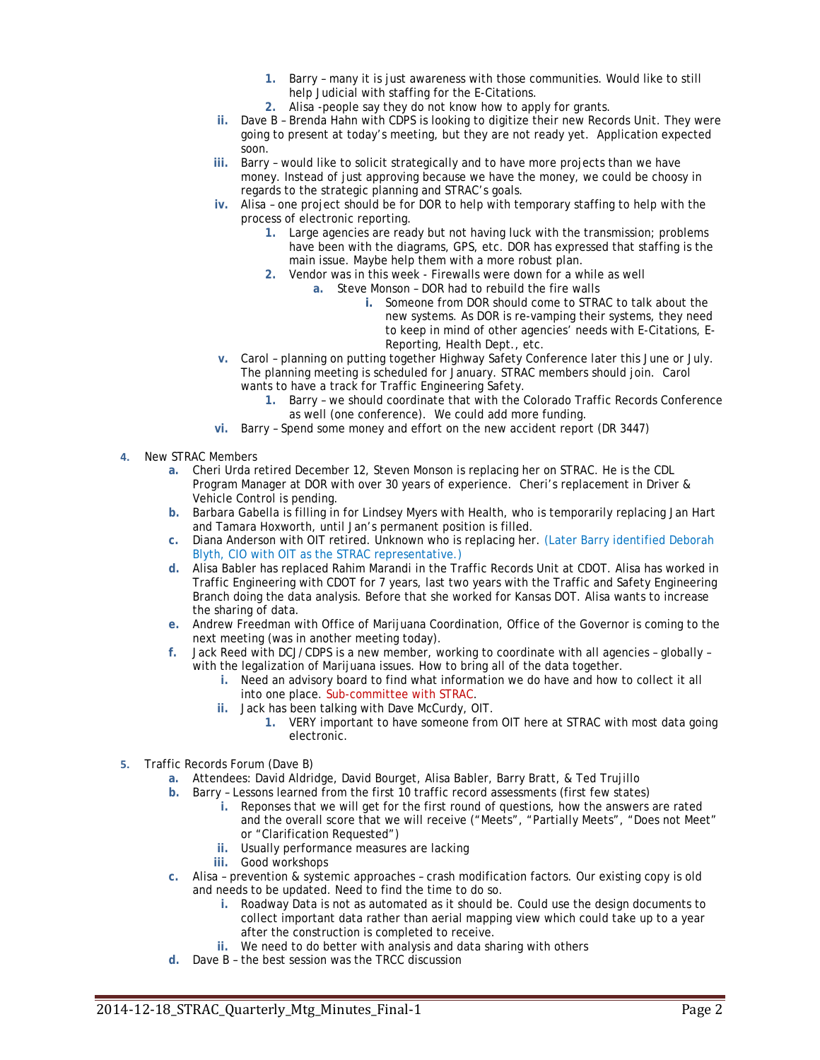- **1.** Barry many it is just awareness with those communities. Would like to still help Judicial with staffing for the E-Citations.
- **2.** Alisa -people say they do not know how to apply for grants.
- **ii.** Dave B Brenda Hahn with CDPS is looking to digitize their new Records Unit. They were going to present at today's meeting, but they are not ready yet. Application expected soon.
- **iii.** Barry would like to solicit strategically and to have more projects than we have money. Instead of just approving because we have the money, we could be choosy in regards to the strategic planning and STRAC's goals.
- **iv.** Alisa one project should be for DOR to help with temporary staffing to help with the process of electronic reporting.
	- **1.** Large agencies are ready but not having luck with the transmission; problems have been with the diagrams, GPS, etc. DOR has expressed that staffing is the main issue. Maybe help them with a more robust plan.
	- **2.** Vendor was in this week Firewalls were down for a while as well
		- **a.** Steve Monson DOR had to rebuild the fire walls
			- **i.** Someone from DOR should come to STRAC to talk about the new systems. As DOR is re-vamping their systems, they need to keep in mind of other agencies' needs with E-Citations, E-Reporting, Health Dept., etc.
- **v.** Carol planning on putting together Highway Safety Conference later this June or July. The planning meeting is scheduled for January. STRAC members should join. Carol wants to have a track for Traffic Engineering Safety.
	- **1.** Barry we should coordinate that with the Colorado Traffic Records Conference as well (one conference). We could add more funding.
- **vi.** Barry Spend some money and effort on the new accident report (DR 3447)
- **4.** New STRAC Members
	- **a.** Cheri Urda retired December 12, Steven Monson is replacing her on STRAC. He is the CDL Program Manager at DOR with over 30 years of experience. Cheri's replacement in Driver & Vehicle Control is pending.
	- **b.** Barbara Gabella is filling in for Lindsey Myers with Health, who is temporarily replacing Jan Hart and Tamara Hoxworth, until Jan's permanent position is filled.
	- **c.** Diana Anderson with OIT retired. Unknown who is replacing her. (Later Barry identified Deborah Blyth, CIO with OIT as the STRAC representative.)
	- **d.** Alisa Babler has replaced Rahim Marandi in the Traffic Records Unit at CDOT. Alisa has worked in Traffic Engineering with CDOT for 7 years, last two years with the Traffic and Safety Engineering Branch doing the data analysis. Before that she worked for Kansas DOT. Alisa wants to increase the sharing of data.
	- **e.** Andrew Freedman with Office of Marijuana Coordination, Office of the Governor is coming to the next meeting (was in another meeting today).
	- **f.** Jack Reed with DCJ/CDPS is a new member, working to coordinate with all agencies globally with the legalization of Marijuana issues. How to bring all of the data together.
		- **i.** Need an advisory board to find what information we do have and how to collect it all into one place. Sub-committee with STRAC.
		- **ii.** Jack has been talking with Dave McCurdy, OIT.
			- **1.** VERY important to have someone from OIT here at STRAC with most data going electronic.
- **5.** Traffic Records Forum (Dave B)
	- **a.** Attendees: David Aldridge, David Bourget, Alisa Babler, Barry Bratt, & Ted Trujillo
	- **b.** Barry Lessons learned from the first 10 traffic record assessments (first few states)
		- **i.** Reponses that we will get for the first round of questions, how the answers are rated and the overall score that we will receive ("Meets", "Partially Meets", "Does not Meet" or "Clarification Requested")
		- **ii.** Usually performance measures are lacking
		- **iii.** Good workshops
	- **c.** Alisa prevention & systemic approaches crash modification factors. Our existing copy is old and needs to be updated. Need to find the time to do so.
		- **i.** Roadway Data is not as automated as it should be. Could use the design documents to collect important data rather than aerial mapping view which could take up to a year after the construction is completed to receive.
		- **ii.** We need to do better with analysis and data sharing with others
	- **d.** Dave B the best session was the TRCC discussion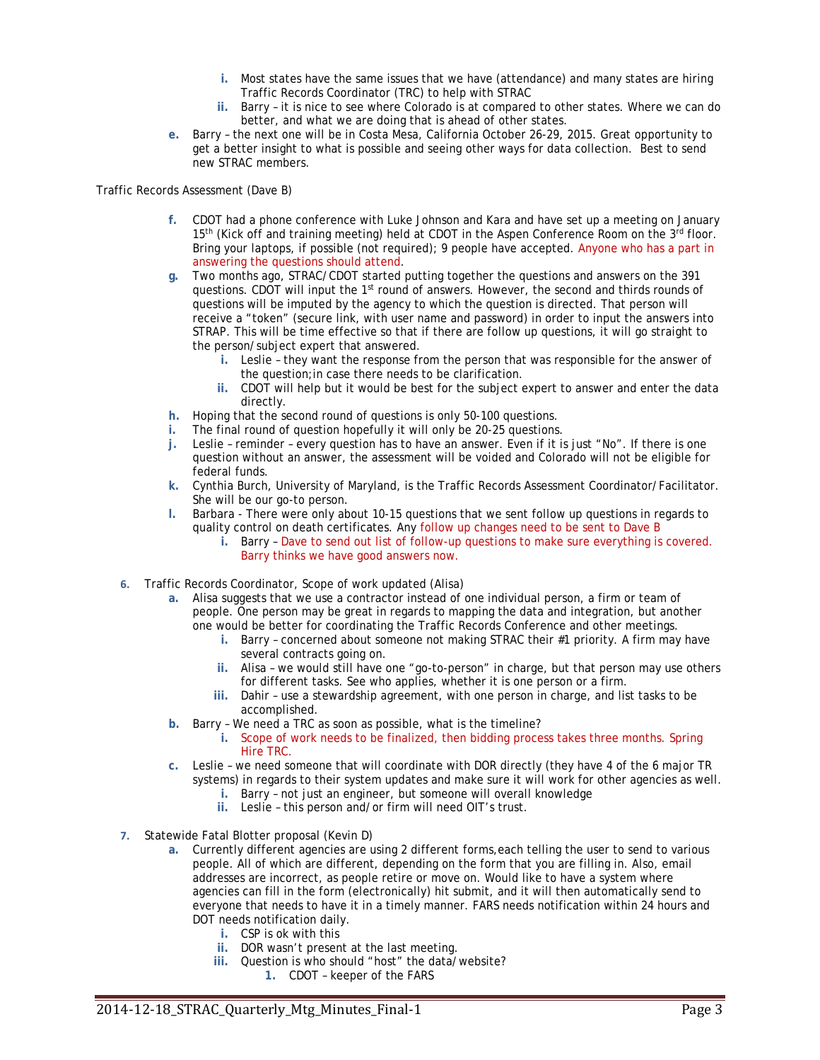- **i.** Most states have the same issues that we have (attendance) and many states are hiring Traffic Records Coordinator (TRC) to help with STRAC
- **ii.** Barry it is nice to see where Colorado is at compared to other states. Where we can do better, and what we are doing that is ahead of other states.
- **e.** Barry the next one will be in Costa Mesa, California October 26-29, 2015. Great opportunity to get a better insight to what is possible and seeing other ways for data collection. Best to send new STRAC members.

Traffic Records Assessment (Dave B)

- **f.** CDOT had a phone conference with Luke Johnson and Kara and have set up a meeting on January 15<sup>th</sup> (Kick off and training meeting) held at CDOT in the Aspen Conference Room on the 3<sup>rd</sup> floor. Bring your laptops, if possible (not required); 9 people have accepted. Anyone who has a part in answering the questions should attend.
- **g.** Two months ago, STRAC/CDOT started putting together the questions and answers on the 391 questions. CDOT will input the  $1<sup>st</sup>$  round of answers. However, the second and thirds rounds of questions will be imputed by the agency to which the question is directed. That person will receive a "token" (secure link, with user name and password) in order to input the answers into STRAP. This will be time effective so that if there are follow up questions, it will go straight to the person/subject expert that answered.
	- **i.** Leslie they want the response from the person that was responsible for the answer of the question;in case there needs to be clarification.
	- **ii.** CDOT will help but it would be best for the subject expert to answer and enter the data directly.
- **h.** Hoping that the second round of questions is only 50-100 questions.
- **i.** The final round of question hopefully it will only be 20-25 questions.
- **j.** Leslie reminder every question has to have an answer. Even if it is just "No". If there is one question without an answer, the assessment will be voided and Colorado will not be eligible for federal funds.
- **k.** Cynthia Burch, University of Maryland, is the Traffic Records Assessment Coordinator/Facilitator. She will be our go-to person.
- **l.** Barbara There were only about 10-15 questions that we sent follow up questions in regards to quality control on death certificates. Any follow up changes need to be sent to Dave B
	- **i.** Barry Dave to send out list of follow-up questions to make sure everything is covered. Barry thinks we have good answers now.
- **6.** Traffic Records Coordinator, Scope of work updated (Alisa)
	- **a.** Alisa suggests that we use a contractor instead of one individual person, a firm or team of people. One person may be great in regards to mapping the data and integration, but another one would be better for coordinating the Traffic Records Conference and other meetings.
		- **i.** Barry concerned about someone not making STRAC their #1 priority. A firm may have several contracts going on.
		- **ii.** Alisa we would still have one "go-to-person" in charge, but that person may use others for different tasks. See who applies, whether it is one person or a firm.
		- **iii.** Dahir use a stewardship agreement, with one person in charge, and list tasks to be accomplished.
	- **b.** Barry We need a TRC as soon as possible, what is the timeline?
		- **i.** Scope of work needs to be finalized, then bidding process takes three months. Spring Hire TRC.
	- **c.** Leslie we need someone that will coordinate with DOR directly (they have 4 of the 6 major TR systems) in regards to their system updates and make sure it will work for other agencies as well.
		- **i.** Barry not just an engineer, but someone will overall knowledge
		- **ii.** Leslie this person and/or firm will need OIT's trust.
- **7.** Statewide Fatal Blotter proposal (Kevin D)
	- **a.** Currently different agencies are using 2 different forms,each telling the user to send to various people. All of which are different, depending on the form that you are filling in. Also, email addresses are incorrect, as people retire or move on. Would like to have a system where agencies can fill in the form (electronically) hit submit, and it will then automatically send to everyone that needs to have it in a timely manner. FARS needs notification within 24 hours and DOT needs notification daily.
		- **i.** CSP is ok with this
		- **ii.** DOR wasn't present at the last meeting.
		- **iii.** Question is who should "host" the data/website?
			- **1.** CDOT keeper of the FARS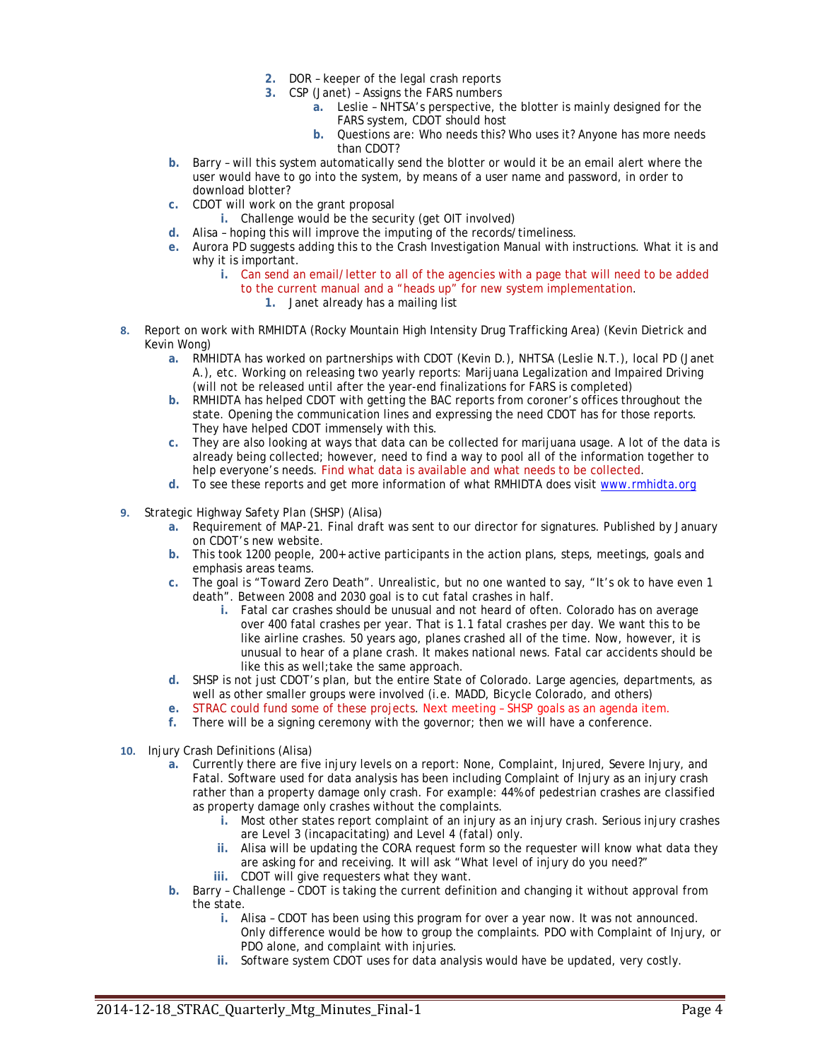- **2.** DOR keeper of the legal crash reports
- **3.** CSP (Janet) Assigns the FARS numbers
	- **a.** Leslie NHTSA's perspective, the blotter is mainly designed for the FARS system, CDOT should host
	- **b.** Questions are: Who needs this? Who uses it? Anyone has more needs than CDOT?
- **b.** Barry will this system automatically send the blotter or would it be an email alert where the user would have to go into the system, by means of a user name and password, in order to download blotter?
- **c.** CDOT will work on the grant proposal
	- **i.** Challenge would be the security (get OIT involved)
- **d.** Alisa hoping this will improve the imputing of the records/timeliness.
- **e.** Aurora PD suggests adding this to the Crash Investigation Manual with instructions. What it is and why it is important.
	- **i.** Can send an email/letter to all of the agencies with a page that will need to be added to the current manual and a "heads up" for new system implementation. **1.** Janet already has a mailing list
- **8.** Report on work with RMHIDTA (Rocky Mountain High Intensity Drug Trafficking Area) (Kevin Dietrick and Kevin Wong)
	- **a.** RMHIDTA has worked on partnerships with CDOT (Kevin D.), NHTSA (Leslie N.T.), local PD (Janet A.), etc. Working on releasing two yearly reports: Marijuana Legalization and Impaired Driving (will not be released until after the year-end finalizations for FARS is completed)
	- **b.** RMHIDTA has helped CDOT with getting the BAC reports from coroner's offices throughout the state. Opening the communication lines and expressing the need CDOT has for those reports. They have helped CDOT immensely with this.
	- **c.** They are also looking at ways that data can be collected for marijuana usage. A lot of the data is already being collected; however, need to find a way to pool all of the information together to help everyone's needs. Find what data is available and what needs to be collected.
	- **d.** To see these reports and get more information of what RMHIDTA does visit www.rmhidta.org
- **9.** Strategic Highway Safety Plan (SHSP) (Alisa)
	- **a.** Requirement of MAP-21. Final draft was sent to our director for signatures. Published by January on CDOT's *new* website.
	- **b.** This took 1200 people, 200+ active participants in the action plans, steps, meetings, goals and emphasis areas teams.
	- **c.** The goal is "Toward Zero Death". Unrealistic, but no one wanted to say, "It's ok to have even 1 death". Between 2008 and 2030 goal is to cut fatal crashes in half.
		- **i.** Fatal car crashes should be unusual and not heard of often. Colorado has on average over 400 fatal crashes per year. That is 1.1 fatal crashes per day. We want this to be like airline crashes. 50 years ago, planes crashed all of the time. Now, however, it is unusual to hear of a plane crash. It makes national news. Fatal car accidents should be like this as well;take the same approach.
	- **d.** SHSP is not just CDOT's plan, but the entire State of Colorado. Large agencies, departments, as well as other smaller groups were involved (i.e. MADD, Bicycle Colorado, and others)
	- **e.** STRAC could fund some of these projects. Next meeting SHSP goals as an agenda item.
	- **f.** There will be a signing ceremony with the governor; then we will have a conference.
- **10.** Injury Crash Definitions (Alisa)
	- **a.** Currently there are five injury levels on a report: None, Complaint, Injured, Severe Injury, and Fatal. Software used for data analysis has been including Complaint of Injury as an injury crash rather than a property damage only crash. For example: 44% of pedestrian crashes are classified as property damage only crashes without the complaints.
		- **i.** Most other states report complaint of an injury as an injury crash. Serious injury crashes are Level 3 (incapacitating) and Level 4 (fatal) only.
		- **ii.** Alisa will be updating the CORA request form so the requester will know what data they are asking for and receiving. It will ask "What level of injury do you need?"
		- **iii.** CDOT will give requesters what they want.
	- **b.** Barry Challenge CDOT is taking the current definition and changing it without approval from the state.
		- **i.** Alisa CDOT has been using this program for over a year now. It was not announced. Only difference would be how to group the complaints. PDO with Complaint of Injury, or PDO alone, and complaint with injuries.
		- **ii.** Software system CDOT uses for data analysis would have be updated, very costly.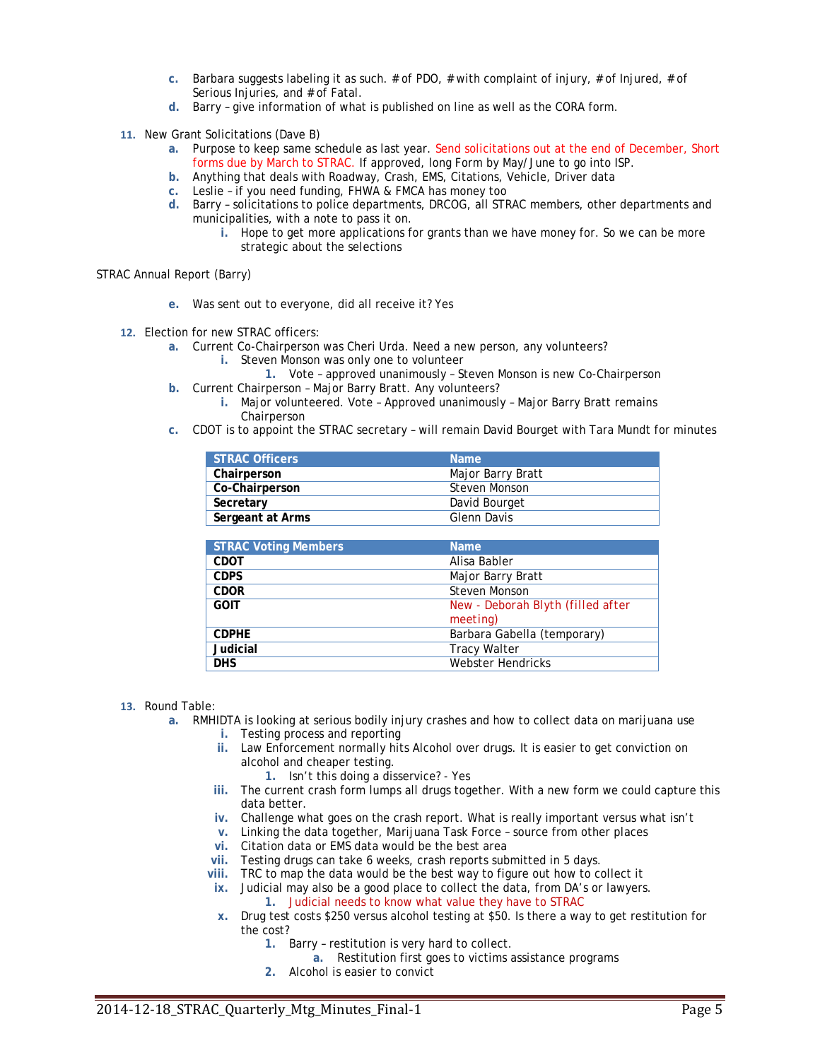- **c.** Barbara suggests labeling it as such. # of PDO, # with complaint of injury, # of Injured, # of Serious Injuries, and # of Fatal.
- **d.** Barry give information of what is published on line as well as the CORA form.
- **11.** New Grant Solicitations (Dave B)
	- **a.** Purpose to keep same schedule as last year. Send solicitations out at the end of December, Short forms due by March to STRAC. If approved, long Form by May/June to go into ISP.
	- **b.** Anything that deals with Roadway, Crash, EMS, Citations, Vehicle, Driver data
	- **c.** Leslie if you need funding, FHWA & FMCA has money too
	- **d.** Barry solicitations to police departments, DRCOG, all STRAC members, other departments and municipalities, with a note to pass it on.
		- **i.** Hope to get more applications for grants than we have money for. So we can be more strategic about the selections

STRAC Annual Report (Barry)

- **e.** Was sent out to everyone, did all receive it? Yes
- **12.** Election for new STRAC officers:
	- **a.** Current Co-Chairperson was Cheri Urda. Need a new person, any volunteers?
		- **i.** Steven Monson was only one to volunteer
		- **1.** Vote approved unanimously Steven Monson is new Co-Chairperson
	- **b.** Current Chairperson Major Barry Bratt. Any volunteers?
		- **i.** Major volunteered. Vote Approved unanimously Major Barry Bratt remains **Chairperson**
	- **c.** CDOT is to appoint the STRAC secretary will remain David Bourget with Tara Mundt for minutes

| <b>STRAC Officers</b> | <b>Name</b>       |
|-----------------------|-------------------|
| Chairperson           | Major Barry Bratt |
| Co-Chairperson        | Steven Monson     |
| Secretary             | David Bourget     |
| Sergeant at Arms      | Glenn Davis       |

| <b>STRAC Voting Members</b> | <b>Name</b>                       |
|-----------------------------|-----------------------------------|
| <b>CDOT</b>                 | Alisa Babler                      |
| <b>CDPS</b>                 | Major Barry Bratt                 |
| <b>CDOR</b>                 | Steven Monson                     |
| <b>GOIT</b>                 | New - Deborah Blyth (filled after |
|                             | meeting)                          |
| <b>CDPHE</b>                | Barbara Gabella (temporary)       |
| <b>Judicial</b>             | <b>Tracy Walter</b>               |
| <b>DHS</b>                  | Webster Hendricks                 |

- **13.** Round Table:
	- **a.** RMHIDTA is looking at serious bodily injury crashes and how to collect data on marijuana use
		- **i.** Testing process and reporting
		- **ii.** Law Enforcement normally hits Alcohol over drugs. It is easier to get conviction on alcohol and cheaper testing.
			- **1.** Isn't this doing a disservice? Yes
		- **iii.** The current crash form lumps all drugs together. With a new form we could capture this data better.
		- **iv.** Challenge what goes on the crash report. What is really important versus what isn't
		- **v.** Linking the data together, Marijuana Task Force source from other places
		- **vi.** Citation data or EMS data would be the best area
		- **vii.** Testing drugs can take 6 weeks, crash reports submitted in 5 days.
		- **viii.** TRC to map the data would be the best way to figure out how to collect it
		- **ix.** Judicial may also be a good place to collect the data, from DA's or lawyers.
			- **1.** Judicial needs to know what value they have to STRAC
		- **x.** Drug test costs \$250 versus alcohol testing at \$50. Is there a way to get restitution for the cost?
			- **1.** Barry restitution is very hard to collect.
				- **a.** Restitution first goes to victims assistance programs
			- **2.** Alcohol is easier to convict